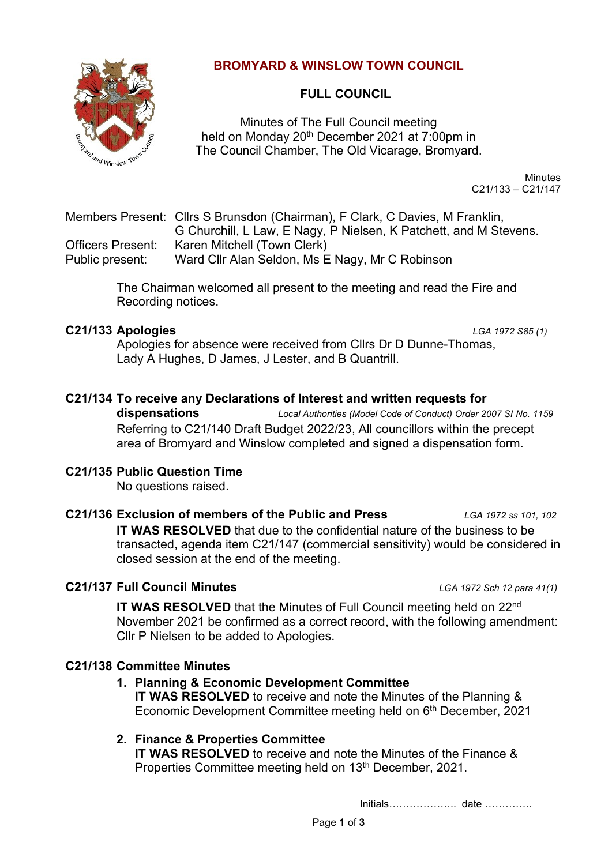

# **BROMYARD & WINSLOW TOWN COUNCIL**

# **FULL COUNCIL**

Minutes of The Full Council meeting held on Monday 20<sup>th</sup> December 2021 at 7:00pm in The Council Chamber, The Old Vicarage, Bromyard.

> **Minutes** C21/133 – C21/147

Members Present: Cllrs S Brunsdon (Chairman), F Clark, C Davies, M Franklin, G Churchill, L Law, E Nagy, P Nielsen, K Patchett, and M Stevens. Officers Present: Karen Mitchell (Town Clerk) Public present: Ward Cllr Alan Seldon, Ms E Nagy, Mr C Robinson

> The Chairman welcomed all present to the meeting and read the Fire and Recording notices.

## **C21/133 Apologies** *LGA 1972 S85 (1)*

Apologies for absence were received from Cllrs Dr D Dunne-Thomas, Lady A Hughes, D James, J Lester, and B Quantrill.

## **C21/134 To receive any Declarations of Interest and written requests for**

**dispensations** *Local Authorities (Model Code of Conduct) Order 2007 SI No. 1159* Referring to C21/140 Draft Budget 2022/23, All councillors within the precept area of Bromyard and Winslow completed and signed a dispensation form.

### **C21/135 Public Question Time**

No questions raised.

#### **C21/136 Exclusion of members of the Public and Press** *LGA 1972 ss 101, 102*

**IT WAS RESOLVED** that due to the confidential nature of the business to be transacted, agenda item C21/147 (commercial sensitivity) would be considered in closed session at the end of the meeting.

## **C21/137 Full Council Minutes** *LGA 1972 Sch 12 para 41(1)*

**IT WAS RESOLVED** that the Minutes of Full Council meeting held on 22<sup>nd</sup> November 2021 be confirmed as a correct record, with the following amendment: Cllr P Nielsen to be added to Apologies.

## **C21/138 Committee Minutes**

## **1. Planning & Economic Development Committee**

**IT WAS RESOLVED** to receive and note the Minutes of the Planning & Economic Development Committee meeting held on 6<sup>th</sup> December, 2021

## **2. Finance & Properties Committee**

**IT WAS RESOLVED** to receive and note the Minutes of the Finance & Properties Committee meeting held on 13<sup>th</sup> December, 2021.

Initials……………….. date …………..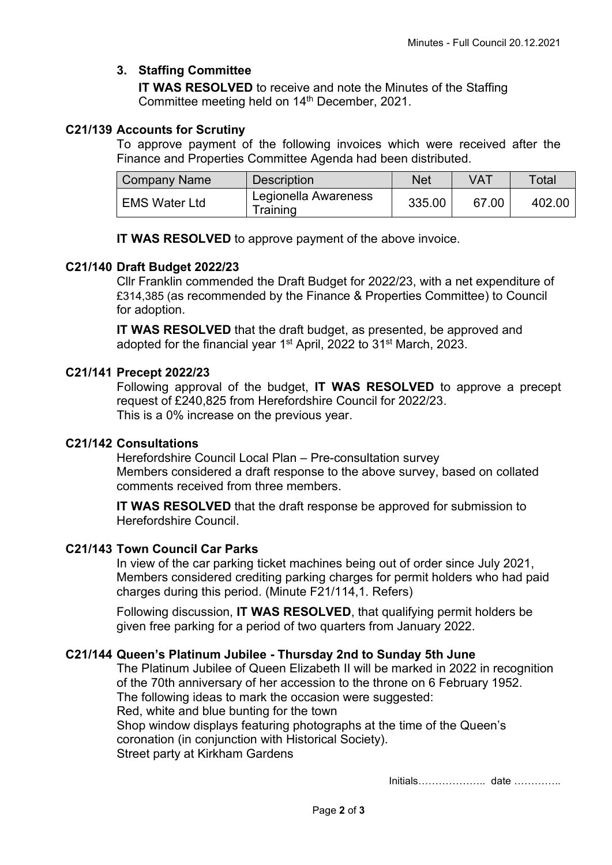# **3. Staffing Committee**

**IT WAS RESOLVED** to receive and note the Minutes of the Staffing Committee meeting held on 14<sup>th</sup> December, 2021.

## **C21/139 Accounts for Scrutiny**

To approve payment of the following invoices which were received after the Finance and Properties Committee Agenda had been distributed.

| <b>Company Name</b>  | <b>Description</b>               | Net    | VAT   | $\tau$ otal |
|----------------------|----------------------------------|--------|-------|-------------|
| <b>EMS Water Ltd</b> | Legionella Awareness<br>Training | 335.00 | 67.00 | 402.00      |

**IT WAS RESOLVED** to approve payment of the above invoice.

## **C21/140 Draft Budget 2022/23**

Cllr Franklin commended the Draft Budget for 2022/23, with a net expenditure of £314,385 (as recommended by the Finance & Properties Committee) to Council for adoption.

**IT WAS RESOLVED** that the draft budget, as presented, be approved and adopted for the financial year 1<sup>st</sup> April, 2022 to 31<sup>st</sup> March, 2023.

## **C21/141 Precept 2022/23**

Following approval of the budget, **IT WAS RESOLVED** to approve a precept request of £240,825 from Herefordshire Council for 2022/23. This is a 0% increase on the previous year.

## **C21/142 Consultations**

Herefordshire Council Local Plan – Pre-consultation survey Members considered a draft response to the above survey, based on collated comments received from three members.

**IT WAS RESOLVED** that the draft response be approved for submission to Herefordshire Council.

## **C21/143 Town Council Car Parks**

In view of the car parking ticket machines being out of order since July 2021, Members considered crediting parking charges for permit holders who had paid charges during this period. (Minute F21/114,1. Refers)

Following discussion, **IT WAS RESOLVED**, that qualifying permit holders be given free parking for a period of two quarters from January 2022.

## **C21/144 Queen's Platinum Jubilee - Thursday 2nd to Sunday 5th June**

The Platinum Jubilee of Queen Elizabeth II will be marked in 2022 in recognition of the 70th anniversary of her accession to the throne on 6 February 1952. The following ideas to mark the occasion were suggested: Red, white and blue bunting for the town Shop window displays featuring photographs at the time of the Queen's coronation (in conjunction with Historical Society). Street party at Kirkham Gardens

Initials……………….. date …………..